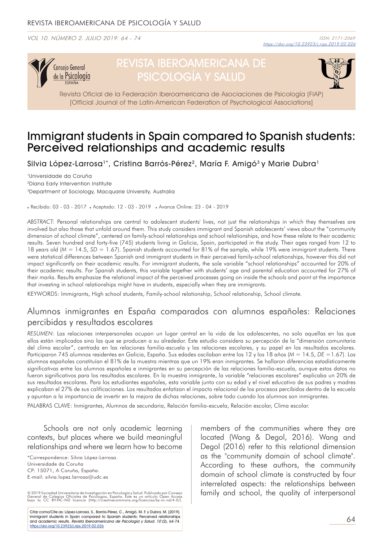VOL 10. NÚMERO 2. JULIO 2019. 64 - 74



# REVISTA IBEROAMERICANA DE PSICOLOGÍA Y SALUD



Revista Oficial de la Federación Iberoamericana de Asociaciones de Psicología (FIAP) [Official Journal of the Latin-American Federation of Psychological Associations]

## Immigrant students in Spain compared to Spanish students: Perceived relationships and academic results

Silvia López-Larrosa<sup>1\*</sup>, Cristina Barrós-Pérez<sup>2</sup>, María F. Amigó<sup>3</sup> y Marie Dubra<sup>1</sup>

1Universidade da Coruña 2Diana Early Intervention Institute 3Department of Sociology, Macquarie University, Australia

. Recibido: 03 - 03 - 2017 . Aceptado: 12 - 03 - 2019 . Avance Online: 23 - 04 - 2019

*ABSTRACT:* Personal relationships are central to adolescent students' lives, not just the relationships in which they themselves are involved but also those that unfold around them. This study considers immigrant and Spanish adolescents' views about the "community dimension of school climate", centered on family-school relationships and school relationships, and how these relate to their academic results. Seven hundred and forty-five (745) students living in Galicia, Spain, participated in the study. Their ages ranged from 12 to 18 years old (*M* = 14.5, *SD* = 1.67). Spanish students accounted for 81% of the sample, while 19% were immigrant students. There were statistical differences between Spanish and immigrant students in their perceived family-school relationships, however this did not impact significantly on their academic results. For immigrant students, the sole variable "school relationships" accounted for 20% of their academic results. For Spanish students, this variable together with students' age and parental education accounted for 27% of their marks. Results emphasize the relational impact of the perceived processes going on inside the schools and point at the importance that investing in school relationships might have in students, especially when they are immigrants.

KEYWORDS: Immigrants, High school students, Family-school relationship, School relationship, School climate.

## Alumnos inmigrantes en España comparados con alumnos españoles: Relaciones percibidas y resultados escolares

*RESUMEN*: Las relaciones interpersonales ocupan un lugar central en la vida de los adolescentes, no solo aquellas en las que ellos están implicados sino las que se producen a su alrededor. Este estudio considera su percepción de la "dimensión comunitaria del clima escolar", centrada en las relaciones familia-escuela y las relaciones escolares, y su papel en los resultados escolares. Participaron 745 alumnos residentes en Galicia, España. Sus edades oscilaban entre los 12 y los 18 años (*M* = 14.5, *DE* =1.67). Los alumnos españoles constituían el 81% de la muestra mientras que un 19% eran inmigrantes. Se hallaron diferencias estadísticamente significativas entre los alumnos españoles e inmigrantes en su percepción de las relaciones familia-escuela, aunque estos datos no fueron significativos para los resultados escolares. En la muestra inmigrante, la variable "relaciones escolares" explicaba un 20% de sus resultados escolares. Para los estudiantes españoles, esta variable junto con su edad y el nivel educativo de sus padres y madres explicaban el 27% de sus calificaciones. Los resultados enfatizan el impacto relacional de los procesos percibidos dentro de la escuela y apuntan a la importancia de invertir en la mejora de dichas relaciones, sobre todo cuando los alumnos son inmigrantes.

PALABRAS CLAVE: Inmigrantes, Alumnos de secundaria, Relación familia-escuela, Relación escolar, Clima escolar.

Schools are not only academic learning contexts, but places where we build meaningful relationships and where we learn how to become

\*Correspondence: Silvia López-Larrosa. Universidade da Coruña CP: 15071, A Coruña, España. E-mail: silvia.lopez.larrosa@udc.es

© 2019 Sociedad Universitaria de Investigación en Psicología y Salud. Publicado por Consejo<br>General de Colegios Oficiales de Psicólogos, España. Este es un artículo Open Access<br>bajo la CC BY-NC-ND licenci

Citar como/Cite as: López-Larrosa, S., Barrós-Pérez, C., Amigó, M. F. y Dubra, M. (2019). Immigrant students in Spain compared to Spanish students: Perceived relationships<br>and academic results. *Revista Iberoamericana de Psicología y Salud, 10* (2), 64-74. https://doi.org/10.23923/j.rips.2019.02.026

members of the communities where they are located (Wang & Degol, 2016). Wang and Degol (2016) refer to this relational dimension as the "community domain of school climate". According to these authors, the community domain of school climate is constructed by four interrelated aspects: the relationships between family and school, the quality of interpersonal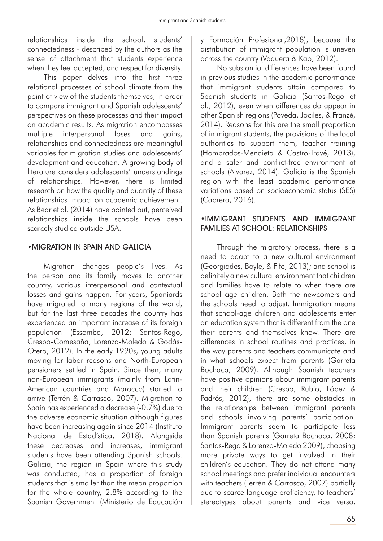relationships inside the school, students' connectedness - described by the authors as the sense of attachment that students experience when they feel accepted, and respect for diversity.

This paper delves into the first three relational processes of school climate from the point of view of the students themselves, in order to compare immigrant and Spanish adolescents' perspectives on these processes and their impact on academic results. As migration encompasses multiple interpersonal loses and gains, relationships and connectedness are meaningful variables for migration studies and adolescents' development and education. A growing body of literature considers adolescents' understandings of relationships. However, there is limited research on how the quality and quantity of these relationships impact on academic achievement. As Bear et al. (2014) have pointed out, perceived relationships inside the schools have been scarcely studied outside USA.

## •MIGRATION IN SPAIN AND GALICIA

Migration changes people's lives. As the person and its family moves to another country, various interpersonal and contextual losses and gains happen. For years, Spaniards have migrated to many regions of the world, but for the last three decades the country has experienced an important increase of its foreign population (Essomba, 2012; Santos-Rego, Crespo-Comesaña, Lorenzo-Moledo & Godás-Otero, 2012). In the early 1990s, young adults moving for labor reasons and North-European pensioners settled in Spain. Since then, many non-European immigrants (mainly from Latin-American countries and Morocco) started to arrive (Terrén & Carrasco, 2007). Migration to Spain has experienced a decrease (-0.7%) due to the adverse economic situation although figures have been increasing again since 2014 (Instituto Nacional de Estadística, 2018). Alongside these decreases and increases, immigrant students have been attending Spanish schools. Galicia, the region in Spain where this study was conducted, has a proportion of foreign students that is smaller than the mean proportion for the whole country, 2.8% according to the Spanish Government (Ministerio de Educación y Formación Profesional,2018), because the distribution of immigrant population is uneven across the country (Vaquera & Kao, 2012).

No substantial differences have been found in previous studies in the academic performance that immigrant students attain compared to Spanish students in Galicia (Santos-Rego et al., 2012), even when differences do appear in other Spanish regions (Poveda, Jociles, & Franzé, 2014). Reasons for this are the small proportion of immigrant students, the provisions of the local authorities to support them, teacher training (Hombrados-Mendieta & Castro-Travé, 2013), and a safer and conflict-free environment at schools (Álvarez, 2014). Galicia is the Spanish region with the least academic performance variations based on socioeconomic status (SES) (Cabrera, 2016).

## •IMMIGRANT STUDENTS AND IMMIGRANT FAMILIES AT SCHOOL: RELATIONSHIPS

Through the migratory process, there is a need to adapt to a new cultural environment (Georgiades, Boyle, & Fife, 2013); and school is definitely a new cultural environment that children and families have to relate to when there are school age children. Both the newcomers and the schools need to adjust. Immigration means that school-age children and adolescents enter an education system that is different from the one their parents and themselves know. There are differences in school routines and practices, in the way parents and teachers communicate and in what schools expect from parents (Garreta Bochaca, 2009). Although Spanish teachers have positive opinions about immigrant parents and their children (Crespo, Rubio, López & Padrós, 2012), there are some obstacles in the relationships between immigrant parents and schools involving parents' participation. Immigrant parents seem to participate less than Spanish parents (Garreta Bochaca, 2008; Santos-Rego & Lorenzo-Moledo 2009), choosing more private ways to get involved in their children's education. They do not attend many school meetings and prefer individual encounters with teachers (Terrén & Carrasco, 2007) partially due to scarce language proficiency, to teachers' stereotypes about parents and vice versa,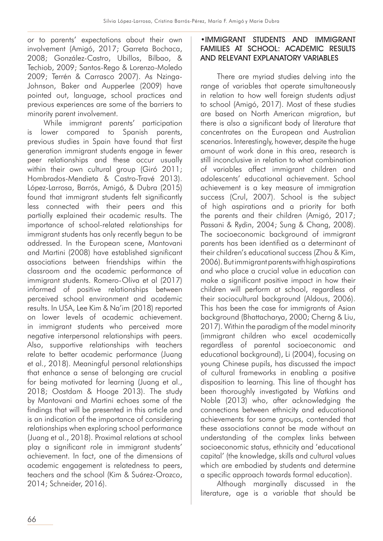or to parents' expectations about their own involvement (Amigó, 2017; Garreta Bochaca, 2008; González-Castro, Ubillos, Bilbao, & Techiob, 2009; Santos-Rego & Lorenzo-Moledo 2009; Terrén & Carrasco 2007). As Nzinga-Johnson, Baker and Aupperlee (2009) have pointed out, language, school practices and previous experiences are some of the barriers to minority parent involvement.

While immigrant parents' participation is lower compared to Spanish parents, previous studies in Spain have found that first generation immigrant students engage in fewer peer relationships and these occur usually within their own cultural group (Giró 2011; Hombrados-Mendieta & Castro-Travé 2013). López-Larrosa, Barrós, Amigó, & Dubra (2015) found that immigrant students felt significantly less connected with their peers and this partially explained their academic results. The importance of school-related relationships for immigrant students has only recently begun to be addressed. In the European scene, Mantovani and Martini (2008) have established significant associations between friendships within the classroom and the academic performance of immigrant students. Romero-Oliva et al (2017) informed of positive relationships between perceived school environment and academic results. In USA, Lee Kim & Na'im (2018) reported on lower levels of academic achievement. in immigrant students who perceived more negative interpersonal relationships with peers. Also, supportive relationships with teachers relate to better academic performance (Juang et al., 2018). Meaningful personal relationships that enhance a sense of belonging are crucial for being motivated for learning (Juang et al., 2018; Oostdam & Hooge 2013). The study by Mantovani and Martini echoes some of the findings that will be presented in this article and is an indication of the importance of considering relationships when exploring school performance (Juang et al., 2018). Proximal relations at school play a significant role in immigrant students' achievement. In fact, one of the dimensions of academic engagement is relatedness to peers, teachers and the school (Kim & Suárez-Orozco, 2014; Schneider, 2016).

## •IMMIGRANT STUDENTS AND IMMIGRANT FAMILIES AT SCHOOL: ACADEMIC RESULTS AND RELEVANT EXPLANATORY VARIABLES

There are myriad studies delving into the range of variables that operate simultaneously in relation to how well foreign students adjust to school (Amigó, 2017). Most of these studies are based on North American migration, but there is also a significant body of literature that concentrates on the European and Australian scenarios. Interestingly, however, despite the huge amount of work done in this area, research is still inconclusive in relation to what combination of variables affect immigrant children and adolescents' educational achievement. School achievement is a key measure of immigration success (Crul, 2007). School is the subject of high aspirations and a priority for both the parents and their children (Amigó, 2017; Passani & Rydin, 2004; Sung & Chang, 2008). The socioeconomic background of immigrant parents has been identified as a determinant of their children's educational success (Zhou & Kim, 2006). But immigrant parents with high aspirations and who place a crucial value in education can make a significant positive impact in how their children will perform at school, regardless of their sociocultural background (Aldous, 2006). This has been the case for immigrants of Asian background (Bhattacharya, 2000; Cherng & Liu, 2017). Within the paradigm of the model minority (immigrant children who excel academically regardless of parental socioeconomic and educational background), Li (2004), focusing on young Chinese pupils, has discussed the impact of cultural frameworks in enabling a positive disposition to learning. This line of thought has been thoroughly investigated by Watkins and Noble (2013) who, after acknowledging the connections between ethnicity and educational achievements for some groups, contended that these associations cannot be made without an understanding of the complex links between socioeconomic status, ethnicity and 'educational capital' (the knowledge, skills and cultural values which are embodied by students and determine a specific approach towards formal education).

Although marginally discussed in the literature, age is a variable that should be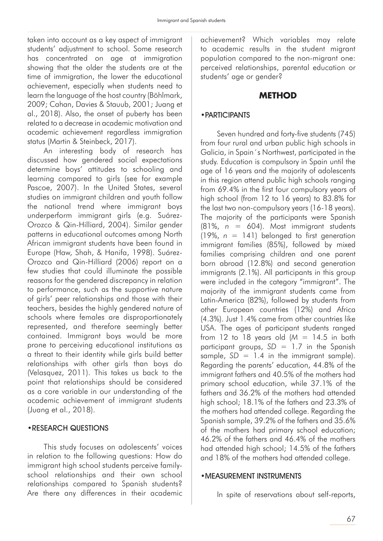taken into account as a key aspect of immigrant students' adjustment to school. Some research has concentrated on age at immigration showing that the older the students are at the time of immigration, the lower the educational achievement, especially when students need to learn the language of the host country (Böhlmark, 2009; Cahan, Davies & Stauub, 2001; Juang et al., 2018). Also, the onset of puberty has been related to a decrease in academic motivation and academic achievement regardless immigration status (Martin & Steinbeck, 2017).

An interesting body of research has discussed how gendered social expectations determine boys' attitudes to schooling and learning compared to girls (see for example Pascoe, 2007). In the United States, several studies on immigrant children and youth follow the national trend where immigrant boys underperform immigrant girls (e.g. Suárez-Orozco & Qin-Hilliard, 2004). Similar gender patterns in educational outcomes among North African immigrant students have been found in Europe (Haw, Shah, & Hanifa, 1998). Suárez-Orozco and Qin-Hilliard (2006) report on a few studies that could illuminate the possible reasons for the gendered discrepancy in relation to performance, such as the supportive nature of girls' peer relationships and those with their teachers, besides the highly gendered nature of schools where females are disproportionately represented, and therefore seemingly better contained. Immigrant boys would be more prone to perceiving educational institutions as a threat to their identity while girls build better relationships with other girls than boys do (Velasquez, 2011). This takes us back to the point that relationships should be considered as a core variable in our understanding of the academic achievement of immigrant students (Juang et al., 2018).

#### •RESEARCH QUESTIONS

This study focuses on adolescents' voices in relation to the following questions: How do immigrant high school students perceive familyschool relationships and their own school relationships compared to Spanish students? Are there any differences in their academic achievement? Which variables may relate to academic results in the student migrant population compared to the non-migrant one: perceived relationships, parental education or students' age or gender?

## **METHOD**

#### •PARTICIPANTS

Seven hundred and forty-five students (745) from four rural and urban public high schools in Galicia, in Spain´s Northwest, participated in the study. Education is compulsory in Spain until the age of 16 years and the majority of adolescents in this region attend public high schools ranging from 69.4% in the first four compulsory years of high school (from 12 to 16 years) to 83.8% for the last two non-compulsory years (16-18 years). The majority of the participants were Spanish (81%, *n* = 604). Most immigrant students  $(19\%, n = 141)$  belonged to first generation immigrant families (85%), followed by mixed families comprising children and one parent born abroad (12.8%) and second generation immigrants (2.1%). All participants in this group were included in the category "immigrant". The majority of the immigrant students came from Latin-America (82%), followed by students from other European countries (12%) and Africa (4.3%). Just 1.4% came from other countries like USA. The ages of participant students ranged from 12 to 18 years old  $(M = 14.5$  in both participant groups, *SD* = 1.7 in the Spanish sample,  $SD = 1.4$  in the immigrant sample). Regarding the parents' education, 44.8% of the immigrant fathers and 40.5% of the mothers had primary school education, while 37.1% of the fathers and 36.2% of the mothers had attended high school; 18.1% of the fathers and 23.3% of the mothers had attended college. Regarding the Spanish sample, 39.2% of the fathers and 35.6% of the mothers had primary school education; 46.2% of the fathers and 46.4% of the mothers had attended high school; 14.5% of the fathers and 18% of the mothers had attended college.

#### •MEASUREMENT INSTRUMENTS

In spite of reservations about self-reports,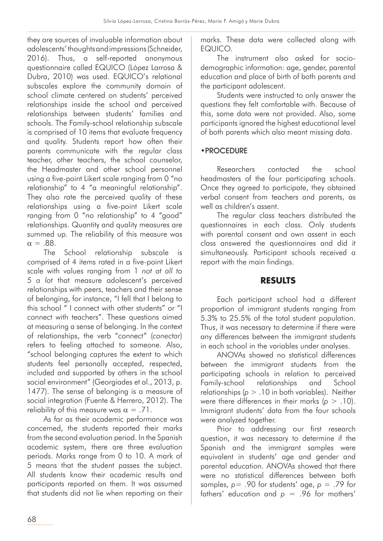they are sources of invaluable information about adolescents' thoughts and impressions (Schneider, 2016). Thus, a self-reported anonymous questionnaire called EQUICO (López Larrosa & Dubra, 2010) was used. EQUICO's relational subscales explore the community domain of school climate centered on students' perceived relationships inside the school and perceived relationships between students' families and schools. The Family-school relationship subscale is comprised of 10 items that evaluate frequency and quality. Students report how often their parents communicate with the regular class teacher, other teachers, the school counselor, the Headmaster and other school personnel using a five-point Likert scale ranging from 0 "no relationship" to 4 "a meaningful relationship". They also rate the perceived quality of these relationships using a five-point Likert scale ranging from 0 "no relationship" to 4 "good" relationships. Quantity and quality measures are summed up. The reliability of this measure was  $\alpha = .88$ .

The School relationship subscale is comprised of 4 items rated in a five-point Likert scale with values ranging from 1 *not at all to 5 a lot* that measure adolescent's perceived relationships with peers, teachers and their sense of belonging, for instance, "I fell that I belong to this school " I connect with other students" or "I connect with teachers". These questions aimed at measuring a sense of belonging. In the context of relationships, the verb "connect" (*conectar*) refers to feeling attached to someone. Also, "school belonging captures the extent to which students feel personally accepted, respected, included and supported by others in the school social environment" (Georgiades et al., 2013, p. 1477). The sense of belonging is a measure of social integration (Fuente & Herrero, 2012). The reliability of this measure was  $\alpha = .71$ .

As far as their academic performance was concerned, the students reported their marks from the second evaluation period. In the Spanish academic system, there are three evaluation periods. Marks range from 0 to 10. A mark of 5 means that the student passes the subject. All students know their academic results and participants reported on them. It was assumed that students did not lie when reporting on their marks. These data were collected along with EQUICO.

The instrument also asked for sociodemographic information: age, gender, parental education and place of birth of both parents and the participant adolescent.

Students were instructed to only answer the questions they felt comfortable with. Because of this, some data were not provided. Also, some participants ignored the highest educational level of both parents which also meant missing data.

## •PROCEDURE

Researchers contacted the school headmasters of the four participating schools. Once they agreed to participate, they obtained verbal consent from teachers and parents, as well as children's assent.

The regular class teachers distributed the questionnaires in each class. Only students with parental consent and own assent in each class answered the questionnaires and did it simultaneously. Participant schools received a report with the main findings.

## **RESULTS**

Each participant school had a different proportion of immigrant students ranging from 5.3% to 25.5% of the total student population. Thus, it was necessary to determine if there were any differences between the immigrant students in each school in the variables under analyses.

ANOVAs showed no statistical differences between the immigrant students from the participating schools in relation to perceived Family-school relationships and School relationships (*p* > .10 in both variables). Neither were there differences in their marks (*p* > .10). Immigrant students' data from the four schools were analyzed together.

Prior to addressing our first research question, it was necessary to determine if the Spanish and the immigrant samples were equivalent in students' age and gender and parental education. ANOVAs showed that there were no statistical differences between both samples, *p*= .90 for students' age, *p* = .79 for fathers' education and *p* = .96 for mothers'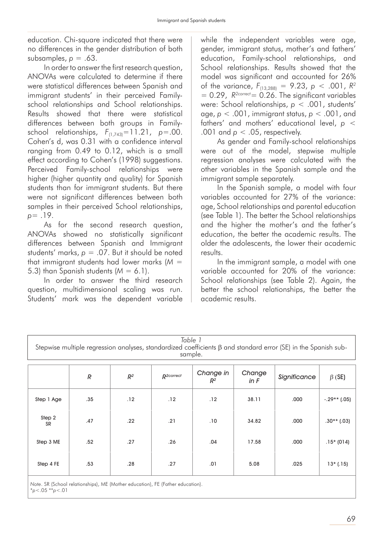education. Chi-square indicated that there were no differences in the gender distribution of both subsamples, *p* = .63.

In order to answer the first research question, ANOVAs were calculated to determine if there were statistical differences between Spanish and immigrant students' in their perceived Familyschool relationships and School relationships. Results showed that there were statistical differences between both groups in Familyschool relationships,  $F_{(1,743)} = 11.21$ ,  $p = .00$ . Cohen's d, was 0.31 with a confidence interval ranging from 0.49 to 0.12, which is a small effect according to Cohen's (1998) suggestions. Perceived Family-school relationships were higher (higher quantity and quality) for Spanish students than for immigrant students. But there were not significant differences between both samples in their perceived School relationships, *p*= .19.

As for the second research question, ANOVAs showed no statistically significant differences between Spanish and Immigrant students' marks, *p* = .07. But it should be noted that immigrant students had lower marks (*M* = 5.3) than Spanish students  $(M = 6.1)$ .

In order to answer the third research question, multidimensional scaling was run. Students' mark was the dependent variable

while the independent variables were age, gender, immigrant status, mother's and fathers' education, Family-school relationships, and School relationships. Results showed that the model was significant and accounted for 26% of the variance,  $F_{(13,288)} = 9.23$ ,  $p < .001$ ,  $R^2$  $= 0.29$ ,  $R^{2\text{correct}} = 0.26$ . The significant variables were: School relationships, *p* < .001, students' age, *p* < .001, immigrant status, *p* < .001, and fathers' and mothers' educational level, *p* < .001 and  $p < .05$ , respectively.

As gender and Family-school relationships were out of the model, stepwise multiple regression analyses were calculated with the other variables in the Spanish sample and the immigrant sample separately.

In the Spanish sample, a model with four variables accounted for 27% of the variance: age, School relationships and parental education (see Table 1). The better the School relationships and the higher the mother's and the father's education, the better the academic results. The older the adolescents, the lower their academic results.

In the immigrant sample, a model with one variable accounted for 20% of the variance: School relationships (see Table 2). Again, the better the school relationships, the better the academic results.

| Table 1<br>Stepwise multiple regression analyses, standardized coefficients $\beta$ and standard error (SE) in the Spanish sub-<br>sample. |               |       |                        |                    |                  |              |                |  |  |  |
|--------------------------------------------------------------------------------------------------------------------------------------------|---------------|-------|------------------------|--------------------|------------------|--------------|----------------|--|--|--|
|                                                                                                                                            | $\mathcal{R}$ | $R^2$ | R <sup>2</sup> correct | Change in<br>$R^2$ | Change<br>in $F$ | Significance | $\beta$ (SE)   |  |  |  |
| Step 1 Age                                                                                                                                 | .35           | .12   | .12                    | .12                | 38.11            | .000         | $-.29**$ (.05) |  |  |  |
| Step 2<br><b>SR</b>                                                                                                                        | .47           | .22   | .21                    | .10                | 34.82            | .000         | $.30**$ (.03)  |  |  |  |
| Step 3 ME                                                                                                                                  | .52           | .27   | .26                    | .04                | 17.58            | .000         | $.15*(014)$    |  |  |  |
| Step 4 FE                                                                                                                                  | .53           | .28   | .27                    | .01                | 5.08             | .025         | $13*(.15)$     |  |  |  |

*Note*. SR (School relationships), ME (Mother education), FE (Father education). \**p*<.05 \*\**p*<.01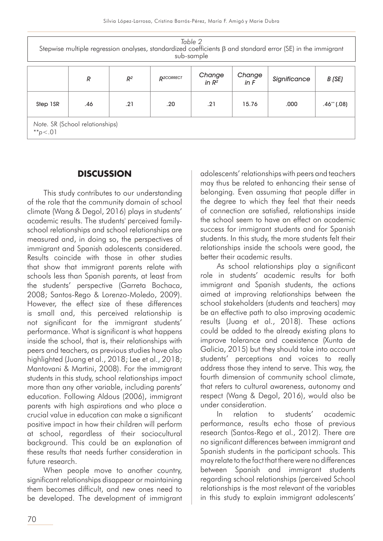| Table 2<br>Stepwise multiple regression analyses, standardized coefficients $\beta$ and standard error (SE) in the immigrant<br>sub-sample |     |       |                        |                    |                |              |                |  |  |  |  |
|--------------------------------------------------------------------------------------------------------------------------------------------|-----|-------|------------------------|--------------------|----------------|--------------|----------------|--|--|--|--|
|                                                                                                                                            | R   | $R^2$ | R <sub>2</sub> CORRECT | Change<br>in $R^2$ | Change<br>in F | Significance | B (SE)         |  |  |  |  |
| Step 1SR                                                                                                                                   | .46 | .21   | .20                    | .21                | 15.76          | ,000         | $.46$ ** (.08) |  |  |  |  |
| Note. SR (School relationships)<br>** $p < .01$                                                                                            |     |       |                        |                    |                |              |                |  |  |  |  |

## **DISCUSSION**

This study contributes to our understanding of the role that the community domain of school climate (Wang & Degol, 2016) plays in students' academic results. The students' perceived familyschool relationships and school relationships are measured and, in doing so, the perspectives of immigrant and Spanish adolescents considered. Results coincide with those in other studies that show that immigrant parents relate with schools less than Spanish parents, at least from the students' perspective (Garreta Bochaca, 2008; Santos-Rego & Lorenzo-Moledo, 2009). However, the effect size of these differences is small and, this perceived relationship is not significant for the immigrant students' performance. What is significant is what happens inside the school, that is, their relationships with peers and teachers, as previous studies have also highlighted (Juang et al., 2018; Lee et al., 2018; Mantovani & Martini, 2008). For the immigrant students in this study, school relationships impact more than any other variable, including parents' education. Following Aldous (2006), immigrant parents with high aspirations and who place a crucial value in education can make a significant positive impact in how their children will perform at school, regardless of their sociocultural background. This could be an explanation of these results that needs further consideration in future research.

When people move to another country, significant relationships disappear or maintaining them becomes difficult, and new ones need to be developed. The development of immigrant

adolescents' relationships with peers and teachers may thus be related to enhancing their sense of belonging. Even assuming that people differ in the degree to which they feel that their needs of connection are satisfied, relationships inside the school seem to have an effect on academic success for immigrant students and for Spanish students. In this study, the more students felt their relationships inside the schools were good, the better their academic results.

As school relationships play a significant role in students' academic results for both immigrant and Spanish students, the actions aimed at improving relationships between the school stakeholders (students and teachers) may be an effective path to also improving academic results (Juang et al., 2018). These actions could be added to the already existing plans to improve tolerance and coexistence (Xunta de Galicia, 2015) but they should take into account students' perceptions and voices to really address those they intend to serve. This way, the fourth dimension of community school climate, that refers to cultural awareness, autonomy and respect (Wang & Degol, 2016), would also be under consideration.

In relation to students' academic performance, results echo those of previous research (Santos-Rego et al., 2012). There are no significant differences between immigrant and Spanish students in the participant schools. This may relate to the fact that there were no differences between Spanish and immigrant students regarding school relationships (perceived School relationships is the most relevant of the variables in this study to explain immigrant adolescents'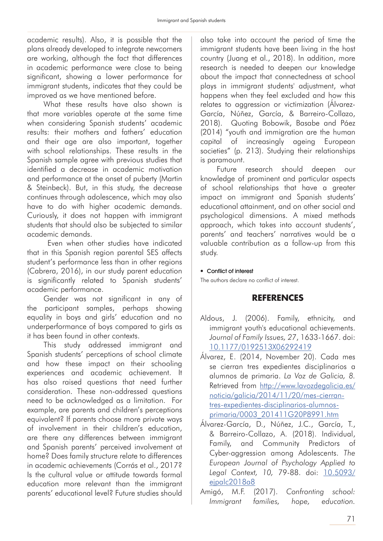academic results). Also, it is possible that the plans already developed to integrate newcomers are working, although the fact that differences in academic performance were close to being significant, showing a lower performance for immigrant students, indicates that they could be improved as we have mentioned before.

What these results have also shown is that more variables operate at the same time when considering Spanish students' academic results: their mothers and fathers' education and their age are also important, together with school relationships. These results in the Spanish sample agree with previous studies that identified a decrease in academic motivation and performance at the onset of puberty (Martin & Steinbeck). But, in this study, the decrease continues through adolescence, which may also have to do with higher academic demands. Curiously, it does not happen with immigrant students that should also be subjected to similar academic demands.

 Even when other studies have indicated that in this Spanish region parental SES affects student's performance less than in other regions (Cabrera, 2016), in our study parent education is significantly related to Spanish students' academic performance.

Gender was not significant in any of the participant samples, perhaps showing equality in boys and girls' education and no underperformance of boys compared to girls as it has been found in other contexts.

This study addressed immigrant and Spanish students' perceptions of school climate and how these impact on their schooling experiences and academic achievement. It has also raised questions that need further consideration. These non-addressed questions need to be acknowledged as a limitation. For example, are parents and children's perceptions equivalent? If parents choose more private ways of involvement in their children's education, are there any differences between immigrant and Spanish parents' perceived involvement at home? Does family structure relate to differences in academic achievements (Corrás et al., 2017? Is the cultural value or attitude towards formal education more relevant than the immigrant parents' educational level? Future studies should

also take into account the period of time the immigrant students have been living in the host country (Juang et al., 2018). In addition, more research is needed to deepen our knowledge about the impact that connectedness at school plays in immigrant students' adjustment, what happens when they feel excluded and how this relates to aggression or victimization (Álvarez-García, Núñez, García, & Barreiro-Collazo, 2018). Quoting Bobowik, Basabe and Páez (2014) "youth and immigration are the human capital of increasingly ageing European societies" (p. 213). Studying their relationships is paramount.

Future research should deepen our knowledge of prominent and particular aspects of school relationships that have a greater impact on immigrant and Spanish students' educational attainment, and on other social and psychological dimensions. A mixed methods approach, which takes into account students', parents' and teachers' narratives would be a valuable contribution as a follow-up from this study.

#### • Conflict of interest

The authors declare no conflict of interest.

## **REFERENCES**

- Aldous, J. (2006). Family, ethnicity, and immigrant youth's educational achievements. *Journal of Family Issues, 27*, 1633-1667. doi: 10.1177/0192513X06292419
- Álvarez, E. (2014, November 20). Cada mes se cierran tres expedientes disciplinarios a alumnos de primaria. *La Voz de Galicia, 8.*  Retrieved from http://www.lavozdegalicia.es/ noticia/galicia/2014/11/20/mes-cierrantres-expedientes-disciplinarios-alumnosprimaria/0003\_201411G20P8991.htm
- Álvarez-García, D., Núñez, J.C., García, T., & Barreiro-Collazo, A. (2018). Individual, Family, and Community Predictors of Cyber-aggression among Adolescents. *The European Journal of Psychology Applied to Legal Context, 10,* 79-88. doi: 10.5093/ ejpalc2018a8
- Amigó, M.F. (2017). *Confronting school: Immigrant families, hope, education.*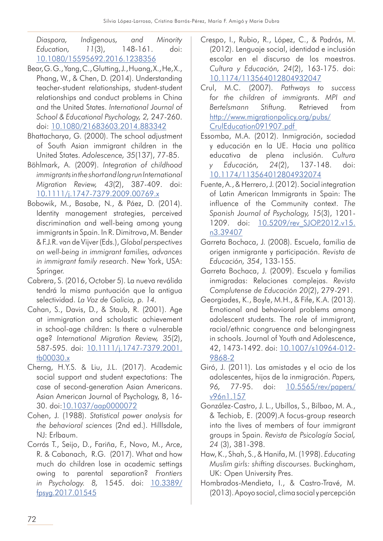*Diaspora, Indigenous, and Minority Education, 11*(3), 148-161. doi: 10.1080/15595692.2016.1238356

- Bear, G. G., Yang, C., Glutting, J., Huang, X., He, X., Phang, W., & Chen, D. (2014). Understanding teacher-student relationships, student-student relationships and conduct problems in China and the United States. *International Journal of School & Educational Psychology, 2,* 247-260. doi: 10.1080/21683603.2014.883342
- Bhattacharya, G. (2000). The school adjustment of South Asian immigrant children in the United States. *Adolescence, 35*(137), 77-85.
- Böhlmark, A. (2009). *Integration of childhood immigrants in the short and long run International Migration Review, 43*(2), 387-409. doi: 10.1111/j.1747-7379.2009.00769.x
- Bobowik, M., Basabe, N., & Páez, D. (2014). Identity management strategies, perceived discrimination and well-being among young immigrants in Spain. In R. Dimitrova, M. Bender & F.J.R. van de Vijver (Eds.), *Global perspectives on well-being in immigrant families, advances in immigrant family research*. New York, USA: Springer.
- Cabrera, S. (2016, October 5). La nueva reválida tendrá la misma puntuación que la antigua selectividad. *La Voz de Galicia, p. 14.*
- Cahan, S., Davis, D., & Staub, R. (2001). Age at immigration and scholastic achievement in school-age children: Is there a vulnerable age? *International Migration Review, 35*(2), 587-595. doi: 10.1111/j.1747-7379.2001. tb00030.x
- Cherng, H.Y.S. & Liu, J.L. (2017). Academic social support and student expectations: The case of second-generation Asian Americans. Asian American Journal of Psychology, 8, 16- 30. doi:10.1037/aap0000072
- Cohen, J. (1988). *Statistical power analysis for the behavioral sciences* (2nd ed.). Hilllsdale, NJ: Erlbaum.
- Corrás T., Seijo, D., Fariña, F., Novo, M., Arce, R. & Cabanach, R.G. (2017). What and how much do children lose in academic settings owing to parental separation? *Frontiers in Psychology. 8,* 1545. doi: 10.3389/ fpsyg.2017.01545
- Crespo, I., Rubio, R., López, C., & Padrós, M. (2012). Lenguaje social, identidad e inclusión escolar en el discurso de los maestros. *Cultura y Educación, 24*(2), 163-175. doi: 10.1174/113564012804932047
- Crul, M.C. (2007). *Pathways to success for the children of immigrants. MPI and Bertelsmann Stiftung.* Retrieved from http://www.migrationpolicy.org/pubs/ CrulEducation091907.pdf
- Essomba, M.A. (2012). Inmigración, sociedad y educación en la UE. Hacia una política educativa de plena inclusión. *Cultura y Educación, 24*(2), 137-148. doi: 10.1174/113564012804932074
- Fuente, A., & Herrero, J. (2012). Social integration of Latin American Immigrants in Spain: The influence of the Community context. *The Spanish Journal of Psychology, 15*(3), 1201- 1209. doi: 10.5209/rev SJOP.2012.v15. n3.39407
- Garreta Bochaca, J. (2008). Escuela, familia de origen inmigrante y participación. *Revista de Educación, 354*, 133-155.
- Garreta Bochaca, J. (2009). Escuela y familias inmigradas: Relaciones complejas. *Revista Complutense de Educación 20*(2), 279-291.
- Georgiades, K., Boyle, M.H., & Fife, K.A. (2013). Emotional and behavioral problems among adolescent students. The role of immigrant, racial/ethnic congruence and belongingness in schools. Journal of Youth and Adolescence, 42, 1473-1492. doi: 10.1007/s10964-012- 9868-2
- Giró, J. (2011). Las amistades y el ocio de los adolescentes, hijos de la inmigración. *Papers, 96,* 77-95. doi: 10.5565/rev/papers/ v96n1.157
- González-Castro, J. L., Ubillos, S., Bilbao, M. A., & Techiob, E. (2009).A focus-group research into the lives of members of four immigrant groups in Spain. *Revista de Psicología Social, 24* (3), 381-398.
- Haw, K., Shah, S., & Hanifa, M. (1998). *Educating Muslim girls: shifting discourses.* Buckingham, UK: Open University Pres.
- Hombrados-Mendieta, I., & Castro-Travé, M. (2013). Apoyo social, clima social y percepción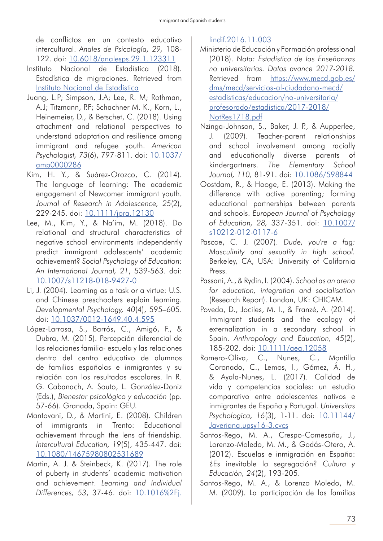de conflictos en un contexto educativo intercultural. *Anales de Psicología, 29,* 108- 122. doi: 10.6018/analesps.29.1.123311

- Instituto Nacional de Estadística (2018). Estadística de migraciones. Retrieved from Instituto Nacional de Estadística
- Juang, L.P; Simpson, J.A; Lee, R. M; Rothman, A.J; Titzmann, P.F; Schachner M. K., Korn, L., Heinemeier, D., & Betschet, C. (2018). Using attachment and relational perspectives to understand adaptation and resilience among immigrant and refugee youth. *American Psychologist, 73*(6), 797-811. doi: 10.1037/ amp0000286
- Kim, H. Y., & Suárez-Orozco, C. (2014). The language of learning: The academic engagement of Newcomer immigrant youth. *Journal of Research in Adolescence, 25*(2), 229-245. doi: 10.1111/jora.12130
- Lee, M., Kim, Y., & Na'im, M. (2018). Do relational and structural characteristics of negative school environments independently predict immigrant adolescents' academic achievement? *Social Psychology of Education: An International Journal, 21*, 539-563. doi: 10.1007/s11218-018-9427-0
- Li, J. (2004). Learning as a task or a virtue: U.S. and Chinese preschoolers explain learning. *Developmental Psychology, 40*(4), 595–605. doi: 10.1037/0012-1649.40.4.595
- López-Larrosa, S., Barrós, C., Amigó, F., & Dubra, M. (2015). Percepción diferencial de las relaciones familia- escuela y las relaciones dentro del centro educativo de alumnos de familias españolas e inmigrantes y su relación con los resultados escolares. In R. G. Cabanach, A. Souto, L. González-Doniz (Eds.), *Bienestar psicológico y educación* (pp. 57-66). Granada, Spain: GEU.
- Mantovani, D., & Martini, E. (2008). Children of immigrants in Trento: Educational achievement through the lens of friendship. *Intercultural Education, 19*(5), 435-447. doi: 10.1080/14675980802531689
- Martin, A. J. & Steinbeck, K. (2017). The role of puberty in students' academic motivation and achievement. *Learning and Individual Differences, 53*, 37-46. doi: 10.1016%2Fj.

## lindif.2016.11.003

- Ministerio de Educación y Formación professional (2018). *Nota: Estadística de las Enseñanzas no universitarias. Datos avance 2017-2018.*  Retrieved from https://www.mecd.gob.es/ dms/mecd/servicios-al-ciudadano-mecd/ estadisticas/educacion/no-universitaria/ profesorado/estadistica/2017-2018/ NotRes1718.pdf
- Nzinga-Johnson, S., Baker, J. P., & Aupperlee, J. (2009). Teacher-parent relationships and school involvement among racially and educationally diverse parents of kindergartners. *The Elementary School Journal, 110,* 81-91. doi: 10.1086/598844
- Oostdam, R., & Hooge, E. (2013). Making the difference with active parenting; forming educational partnerships between parents and schools. *European Journal of Psychology of Education, 28,* 337-351. doi: 10.1007/ s10212-012-0117-6
- Pascoe, C. J. (2007). *Dude, you're a fag: Masculinity and sexuality in high school.*  Berkeley, CA, USA: University of California Press.
- Passani, A., & Rydin, I. (2004). *School as an arena for education, integration and socialisation*  (Research Report). London, UK: CHICAM.
- Poveda, D., Jociles, M. I., & Franzé, A. (2014). Immigrant students and the ecology of externalization in a secondary school in Spain. *Anthropology and Education, 45*(2), 185-202. doi: 10.1111/aeq.12058
- Romero-Oliva, C., Nunes, C., Montilla Coronado, C., Lemos, I., Gómez, Á. H., & Ayala-Nunes, L. (2017). Calidad de vida y competencias sociales: un estudio comparativo entre adolescentes nativos e inmigrantes de España y Portugal. *Universitas Psychologica, 16*(3), 1-11. doi: 10.11144/ Javeriana.upsy16-3.cvcs
- Santos-Rego, M. A., Crespo-Comesaña, J., Lorenzo-Moledo, M. M., & Godás-Otero, A. (2012). Escuelas e inmigración en España: ¿Es inevitable la segregación? *Cultura y Educación, 24*(2), 193-205.
- Santos-Rego, M. A., & Lorenzo Moledo, M. M. (2009). La participación de las familias